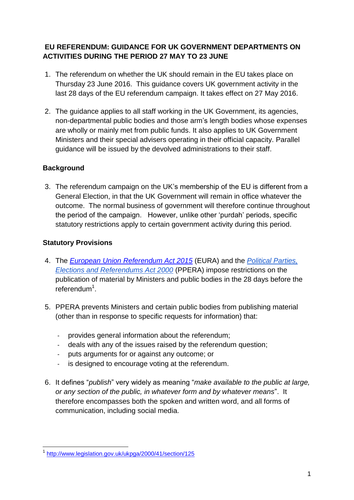# **EU REFERENDUM: GUIDANCE FOR UK GOVERNMENT DEPARTMENTS ON ACTIVITIES DURING THE PERIOD 27 MAY TO 23 JUNE**

- 1. The referendum on whether the UK should remain in the EU takes place on Thursday 23 June 2016. This guidance covers UK government activity in the last 28 days of the EU referendum campaign. It takes effect on 27 May 2016.
- 2. The guidance applies to all staff working in the UK Government, its agencies, non-departmental public bodies and those arm's length bodies whose expenses are wholly or mainly met from public funds. It also applies to UK Government Ministers and their special advisers operating in their official capacity. Parallel guidance will be issued by the devolved administrations to their staff.

# **Background**

3. The referendum campaign on the UK's membership of the EU is different from a General Election, in that the UK Government will remain in office whatever the outcome. The normal business of government will therefore continue throughout the period of the campaign. However, unlike other 'purdah' periods, specific statutory restrictions apply to certain government activity during this period.

### **Statutory Provisions**

- 4. The *[European Union Referendum Act 2015](http://www.legislation.gov.uk/ukpga/2015/36/contents/enacted)* (EURA) and the *[Political Parties,](http://www.legislation.gov.uk/ukpga/2000/41/contents)  [Elections and Referendums Act 2000](http://www.legislation.gov.uk/ukpga/2000/41/contents)* (PPERA) impose restrictions on the publication of material by Ministers and public bodies in the 28 days before the referendum<sup>1</sup>.
- 5. PPERA prevents Ministers and certain public bodies from publishing material (other than in response to specific requests for information) that:
	- provides general information about the referendum;
	- deals with any of the issues raised by the referendum question;
	- puts arguments for or against any outcome; or
	- is designed to encourage voting at the referendum.
- 6. It defines "*publish*" very widely as meaning "*make available to the public at large, or any section of the public, in whatever form and by whatever means*". It therefore encompasses both the spoken and written word, and all forms of communication, including social media.

 1 <http://www.legislation.gov.uk/ukpga/2000/41/section/125>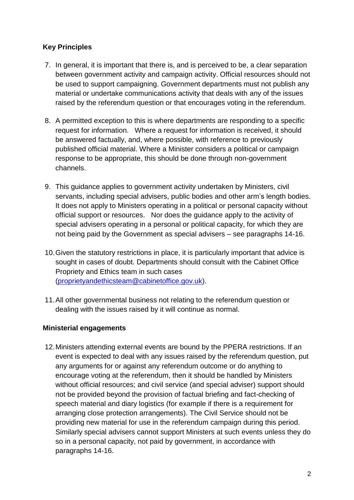# **Key Principles**

- 7. In general, it is important that there is, and is perceived to be, a clear separation between government activity and campaign activity. Official resources should not be used to support campaigning. Government departments must not publish any material or undertake communications activity that deals with any of the issues raised by the referendum question or that encourages voting in the referendum.
- 8. A permitted exception to this is where departments are responding to a specific request for information. Where a request for information is received, it should be answered factually, and, where possible, with reference to previously published official material. Where a Minister considers a political or campaign response to be appropriate, this should be done through non-government channels.
- 9. This guidance applies to government activity undertaken by Ministers, civil servants, including special advisers, public bodies and other arm's length bodies. It does not apply to Ministers operating in a political or personal capacity without official support or resources. Nor does the guidance apply to the activity of special advisers operating in a personal or political capacity, for which they are not being paid by the Government as special advisers – see paragraphs 14-16.
- 10.Given the statutory restrictions in place, it is particularly important that advice is sought in cases of doubt. Departments should consult with the Cabinet Office Propriety and Ethics team in such cases [\(proprietyandethicsteam@cabinetoffice.gov.uk\)](mailto:proprietyandethicsteam@cabinetoffice.gov.uk).
- 11.All other governmental business not relating to the referendum question or dealing with the issues raised by it will continue as normal.

### **Ministerial engagements**

12.Ministers attending external events are bound by the PPERA restrictions. If an event is expected to deal with any issues raised by the referendum question, put any arguments for or against any referendum outcome or do anything to encourage voting at the referendum, then it should be handled by Ministers without official resources; and civil service (and special adviser) support should not be provided beyond the provision of factual briefing and fact-checking of speech material and diary logistics (for example if there is a requirement for arranging close protection arrangements). The Civil Service should not be providing new material for use in the referendum campaign during this period. Similarly special advisers cannot support Ministers at such events unless they do so in a personal capacity, not paid by government, in accordance with paragraphs 14-16.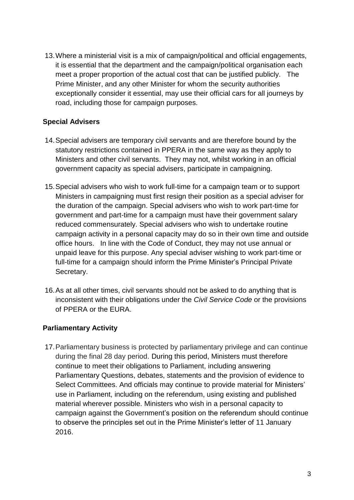13.Where a ministerial visit is a mix of campaign/political and official engagements, it is essential that the department and the campaign/political organisation each meet a proper proportion of the actual cost that can be justified publicly. The Prime Minister, and any other Minister for whom the security authorities exceptionally consider it essential, may use their official cars for all journeys by road, including those for campaign purposes.

### **Special Advisers**

- 14.Special advisers are temporary civil servants and are therefore bound by the statutory restrictions contained in PPERA in the same way as they apply to Ministers and other civil servants. They may not, whilst working in an official government capacity as special advisers, participate in campaigning.
- 15.Special advisers who wish to work full-time for a campaign team or to support Ministers in campaigning must first resign their position as a special adviser for the duration of the campaign. Special advisers who wish to work part-time for government and part-time for a campaign must have their government salary reduced commensurately. Special advisers who wish to undertake routine campaign activity in a personal capacity may do so in their own time and outside office hours. In line with the Code of Conduct, they may not use annual or unpaid leave for this purpose. Any special adviser wishing to work part-time or full-time for a campaign should inform the Prime Minister's Principal Private Secretary.
- 16.As at all other times, civil servants should not be asked to do anything that is inconsistent with their obligations under the *Civil Service Code* or the provisions of PPERA or the EURA.

### **Parliamentary Activity**

17.Parliamentary business is protected by parliamentary privilege and can continue during the final 28 day period. During this period, Ministers must therefore continue to meet their obligations to Parliament, including answering Parliamentary Questions, debates, statements and the provision of evidence to Select Committees. And officials may continue to provide material for Ministers' use in Parliament, including on the referendum, using existing and published material wherever possible. Ministers who wish in a personal capacity to campaign against the Government's position on the referendum should continue to observe the principles set out in the Prime Minister's letter of 11 January 2016.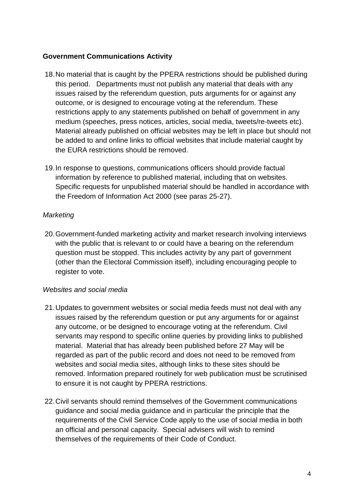### **Government Communications Activity**

- 18.No material that is caught by the PPERA restrictions should be published during this period. Departments must not publish any material that deals with any issues raised by the referendum question, puts arguments for or against any outcome, or is designed to encourage voting at the referendum. These restrictions apply to any statements published on behalf of government in any medium (speeches, press notices, articles, social media, tweets/re-tweets etc). Material already published on official websites may be left in place but should not be added to and online links to official websites that include material caught by the EURA restrictions should be removed.
- 19.In response to questions, communications officers should provide factual information by reference to published material, including that on websites. Specific requests for unpublished material should be handled in accordance with the Freedom of Information Act 2000 (see paras 25-27).

### *Marketing*

20.Government-funded marketing activity and market research involving interviews with the public that is relevant to or could have a bearing on the referendum question must be stopped. This includes activity by any part of government (other than the Electoral Commission itself), including encouraging people to register to vote.

### *Websites and social media*

- 21.Updates to government websites or social media feeds must not deal with any issues raised by the referendum question or put any arguments for or against any outcome, or be designed to encourage voting at the referendum. Civil servants may respond to specific online queries by providing links to published material. Material that has already been published before 27 May will be regarded as part of the public record and does not need to be removed from websites and social media sites, although links to these sites should be removed. Information prepared routinely for web publication must be scrutinised to ensure it is not caught by PPERA restrictions.
- 22.Civil servants should remind themselves of the Government communications guidance and social media guidance and in particular the principle that the requirements of the Civil Service Code apply to the use of social media in both an official and personal capacity. Special advisers will wish to remind themselves of the requirements of their Code of Conduct.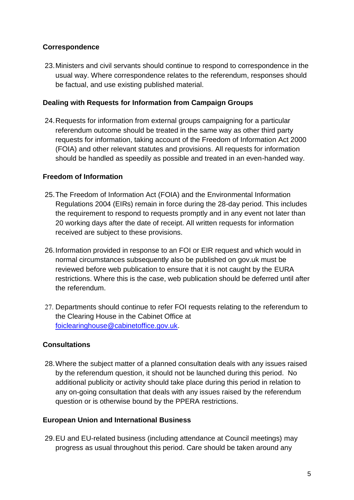# **Correspondence**

23.Ministers and civil servants should continue to respond to correspondence in the usual way. Where correspondence relates to the referendum, responses should be factual, and use existing published material.

#### **Dealing with Requests for Information from Campaign Groups**

24.Requests for information from external groups campaigning for a particular referendum outcome should be treated in the same way as other third party requests for information, taking account of the Freedom of Information Act 2000 (FOIA) and other relevant statutes and provisions. All requests for information should be handled as speedily as possible and treated in an even-handed way.

#### **Freedom of Information**

- 25.The Freedom of Information Act (FOIA) and the Environmental Information Regulations 2004 (EIRs) remain in force during the 28-day period. This includes the requirement to respond to requests promptly and in any event not later than 20 working days after the date of receipt. All written requests for information received are subject to these provisions.
- 26.Information provided in response to an FOI or EIR request and which would in normal circumstances subsequently also be published on gov.uk must be reviewed before web publication to ensure that it is not caught by the EURA restrictions. Where this is the case, web publication should be deferred until after the referendum.
- 27. Departments should continue to refer FOI requests relating to the referendum to the Clearing House in the Cabinet Office at [foiclearinghouse@cabinetoffice.gov.uk.](mailto:foiclearinghouse@cabinetoffice.gov.uk)

### **Consultations**

28.Where the subject matter of a planned consultation deals with any issues raised by the referendum question, it should not be launched during this period. No additional publicity or activity should take place during this period in relation to any on-going consultation that deals with any issues raised by the referendum question or is otherwise bound by the PPERA restrictions.

#### **European Union and International Business**

29.EU and EU-related business (including attendance at Council meetings) may progress as usual throughout this period. Care should be taken around any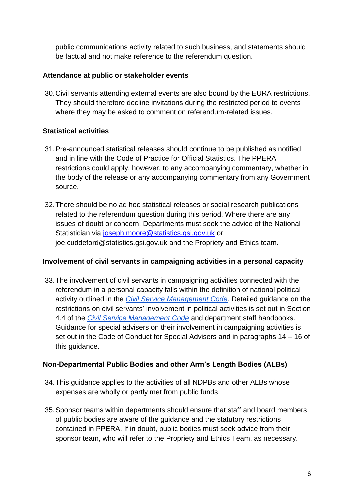public communications activity related to such business, and statements should be factual and not make reference to the referendum question.

### **Attendance at public or stakeholder events**

30.Civil servants attending external events are also bound by the EURA restrictions. They should therefore decline invitations during the restricted period to events where they may be asked to comment on referendum-related issues.

# **Statistical activities**

- 31.Pre-announced statistical releases should continue to be published as notified and in line with the Code of Practice for Official Statistics. The PPERA restrictions could apply, however, to any accompanying commentary, whether in the body of the release or any accompanying commentary from any Government source.
- 32.There should be no ad hoc statistical releases or social research publications related to the referendum question during this period. Where there are any issues of doubt or concern, Departments must seek the advice of the National Statistician via [joseph.moore@statistics.gsi.gov.uk](mailto:joseph.moore@statistics.gsi.gov.uk) or joe.cuddeford@statistics.gsi.gov.uk and the Propriety and Ethics team.

### **Involvement of civil servants in campaigning activities in a personal capacity**

33.The involvement of civil servants in campaigning activities connected with the referendum in a personal capacity falls within the definition of national political activity outlined in the *[Civil Service Management Code](https://www.gov.uk/government/publications/civil-servants-terms-and-conditions)*[.](https://www.gov.uk/government/publications/civil-servants-terms-and-conditions) [Detailed](https://www.gov.uk/government/publications/civil-servants-terms-and-conditions) [guidance](https://www.gov.uk/government/publications/civil-servants-terms-and-conditions) [on](https://www.gov.uk/government/publications/civil-servants-terms-and-conditions) t[he](https://www.gov.uk/government/publications/civil-servants-terms-and-conditions) [restrictions](https://www.gov.uk/government/publications/civil-servants-terms-and-conditions) [on](https://www.gov.uk/government/publications/civil-servants-terms-and-conditions) [civil](https://www.gov.uk/government/publications/civil-servants-terms-and-conditions) [servants'](https://www.gov.uk/government/publications/civil-servants-terms-and-conditions) [involvement](https://www.gov.uk/government/publications/civil-servants-terms-and-conditions) [in](https://www.gov.uk/government/publications/civil-servants-terms-and-conditions) [political](https://www.gov.uk/government/publications/civil-servants-terms-and-conditions) [activities](https://www.gov.uk/government/publications/civil-servants-terms-and-conditions) [is](https://www.gov.uk/government/publications/civil-servants-terms-and-conditions) [set](https://www.gov.uk/government/publications/civil-servants-terms-and-conditions) [out](https://www.gov.uk/government/publications/civil-servants-terms-and-conditions) [in](https://www.gov.uk/government/publications/civil-servants-terms-and-conditions) [Section](https://www.gov.uk/government/publications/civil-servants-terms-and-conditions) [4.4](https://www.gov.uk/government/publications/civil-servants-terms-and-conditions) [of](https://www.gov.uk/government/publications/civil-servants-terms-and-conditions) [the](https://www.gov.uk/government/publications/civil-servants-terms-and-conditions) *[Civil Service Management Code](https://www.gov.uk/government/publications/civil-servants-terms-and-conditions)* and department staff handbooks. Guidance for special advisers on their involvement in campaigning activities is set out in the Code of Conduct for Special Advisers and in paragraphs 14 – 16 of this guidance.

### **Non-Departmental Public Bodies and other Arm's Length Bodies (ALBs)**

- 34.This guidance applies to the activities of all NDPBs and other ALBs whose expenses are wholly or partly met from public funds.
- 35.Sponsor teams within departments should ensure that staff and board members of public bodies are aware of the guidance and the statutory restrictions contained in PPERA. If in doubt, public bodies must seek advice from their sponsor team, who will refer to the Propriety and Ethics Team, as necessary.